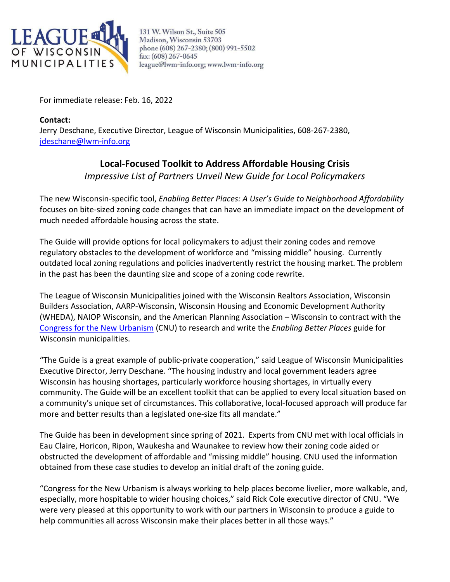

131 W. Wilson St., Suite 505 Madison, Wisconsin 53703 phone (608) 267-2380; (800) 991-5502 fax: (608) 267-0645 league@lwm-info.org; www.lwm-info.org

For immediate release: Feb. 16, 2022

**Contact:**  Jerry Deschane, Executive Director, League of Wisconsin Municipalities, 608-267-2380, [jdeschane@lwm-info.org](mailto:jdeschane@lwm-info.org)

## **Local-Focused Toolkit to Address Affordable Housing Crisis**

*Impressive List of Partners Unveil New Guide for Local Policymakers*

The new Wisconsin-specific tool, *Enabling Better Places: A User's Guide to Neighborhood Affordability* focuses on bite-sized zoning code changes that can have an immediate impact on the development of much needed affordable housing across the state.

The Guide will provide options for local policymakers to adjust their zoning codes and remove regulatory obstacles to the development of workforce and "missing middle" housing. Currently outdated local zoning regulations and policies inadvertently restrict the housing market. The problem in the past has been the daunting size and scope of a zoning code rewrite.

The League of Wisconsin Municipalities joined with the Wisconsin Realtors Association, Wisconsin Builders Association, AARP-Wisconsin, Wisconsin Housing and Economic Development Authority (WHEDA), NAIOP Wisconsin, and the American Planning Association – Wisconsin to contract with the [Congress for the New Urbanism](https://www.cnu.org/) (CNU) to research and write the *Enabling Better Places* guide for Wisconsin municipalities.

"The Guide is a great example of public-private cooperation," said League of Wisconsin Municipalities Executive Director, Jerry Deschane. "The housing industry and local government leaders agree Wisconsin has housing shortages, particularly workforce housing shortages, in virtually every community. The Guide will be an excellent toolkit that can be applied to every local situation based on a community's unique set of circumstances. This collaborative, local-focused approach will produce far more and better results than a legislated one-size fits all mandate."

The Guide has been in development since spring of 2021. Experts from CNU met with local officials in Eau Claire, Horicon, Ripon, Waukesha and Waunakee to review how their zoning code aided or obstructed the development of affordable and "missing middle" housing. CNU used the information obtained from these case studies to develop an initial draft of the zoning guide.

"Congress for the New Urbanism is always working to help places become livelier, more walkable, and, especially, more hospitable to wider housing choices," said Rick Cole executive director of CNU. "We were very pleased at this opportunity to work with our partners in Wisconsin to produce a guide to help communities all across Wisconsin make their places better in all those ways."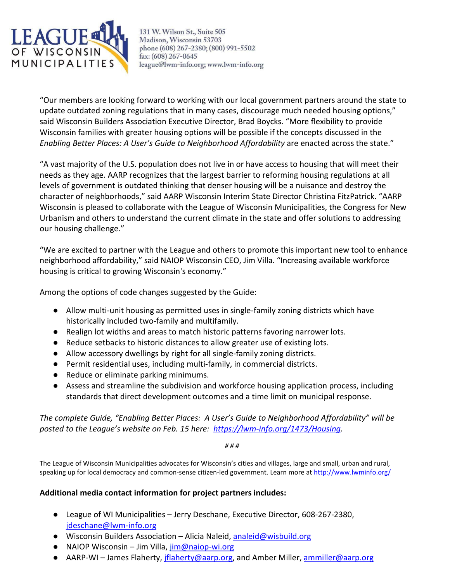

131 W. Wilson St., Suite 505 Madison, Wisconsin 53703 phone (608) 267-2380; (800) 991-5502 fax: (608) 267-0645 league@lwm-info.org; www.lwm-info.org

"Our members are looking forward to working with our local government partners around the state to update outdated zoning regulations that in many cases, discourage much needed housing options," said Wisconsin Builders Association Executive Director, Brad Boycks. "More flexibility to provide Wisconsin families with greater housing options will be possible if the concepts discussed in the *Enabling Better Places: A User's Guide to Neighborhood Affordability* are enacted across the state."

"A vast majority of the U.S. population does not live in or have access to housing that will meet their needs as they age. AARP recognizes that the largest barrier to reforming housing regulations at all levels of government is outdated thinking that denser housing will be a nuisance and destroy the character of neighborhoods," said AARP Wisconsin Interim State Director Christina FitzPatrick. "AARP Wisconsin is pleased to collaborate with the League of Wisconsin Municipalities, the Congress for New Urbanism and others to understand the current climate in the state and offer solutions to addressing our housing challenge."

"We are excited to partner with the League and others to promote this important new tool to enhance neighborhood affordability," said NAIOP Wisconsin CEO, Jim Villa. "Increasing available workforce housing is critical to growing Wisconsin's economy."

Among the options of code changes suggested by the Guide:

- Allow multi-unit housing as permitted uses in single-family zoning districts which have historically included two-family and multifamily.
- Realign lot widths and areas to match historic patterns favoring narrower lots.
- Reduce setbacks to historic distances to allow greater use of existing lots.
- Allow accessory dwellings by right for all single-family zoning districts.
- Permit residential uses, including multi-family, in commercial districts.
- Reduce or eliminate parking minimums.
- Assess and streamline the subdivision and workforce housing application process, including standards that direct development outcomes and a time limit on municipal response.

*The complete Guide, "Enabling Better Places: A User's Guide to Neighborhood Affordability" will be posted to the League's website on Feb. 15 here: [https://lwm-info.org/1473/Housing.](https://lwm-info.org/1473/Housing)*

*# # #*

The League of Wisconsin Municipalities advocates for Wisconsin's cities and villages, large and small, urban and rural, speaking up for local democracy and common-sense citizen-led government. Learn more at<http://www.lwminfo.org/>

## **Additional media contact information for project partners includes:**

- League of WI Municipalities Jerry Deschane, Executive Director, 608-267-2380, [jdeschane@lwm-info.org](mailto:jdeschane@lwm-info.org)
- $\bullet$  Wisconsin Builders Association Alicia Naleid, [analeid@wisbuild.org](mailto:analeid@wisbuild.org)
- $\bullet$  NAIOP Wisconsin Jim Villa, [jim@naiop-wi.org](mailto:jim@naiop-wi.org)
- AARP-WI James Flaherty, *jflaherty@aarp.org*, and Amber Miller, [ammiller@aarp.org](mailto:ammiller@aarp.org)